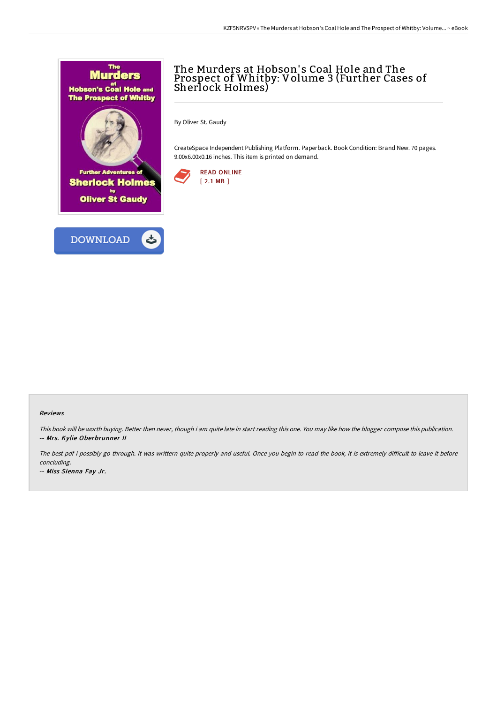



## The Murders at Hobson's Coal Hole and The Prospect of Whitby: Volume 3 (Further Cases of Sherlock Holmes)

By Oliver St. Gaudy

CreateSpace Independent Publishing Platform. Paperback. Book Condition: Brand New. 70 pages. 9.00x6.00x0.16 inches. This item is printed on demand.



## Reviews

This book will be worth buying. Better then never, though i am quite late in start reading this one. You may like how the blogger compose this publication. -- Mrs. Kylie Oberbrunner II

The best pdf i possibly go through. it was writtern quite properly and useful. Once you begin to read the book, it is extremely difficult to leave it before concluding.

-- Miss Sienna Fay Jr.